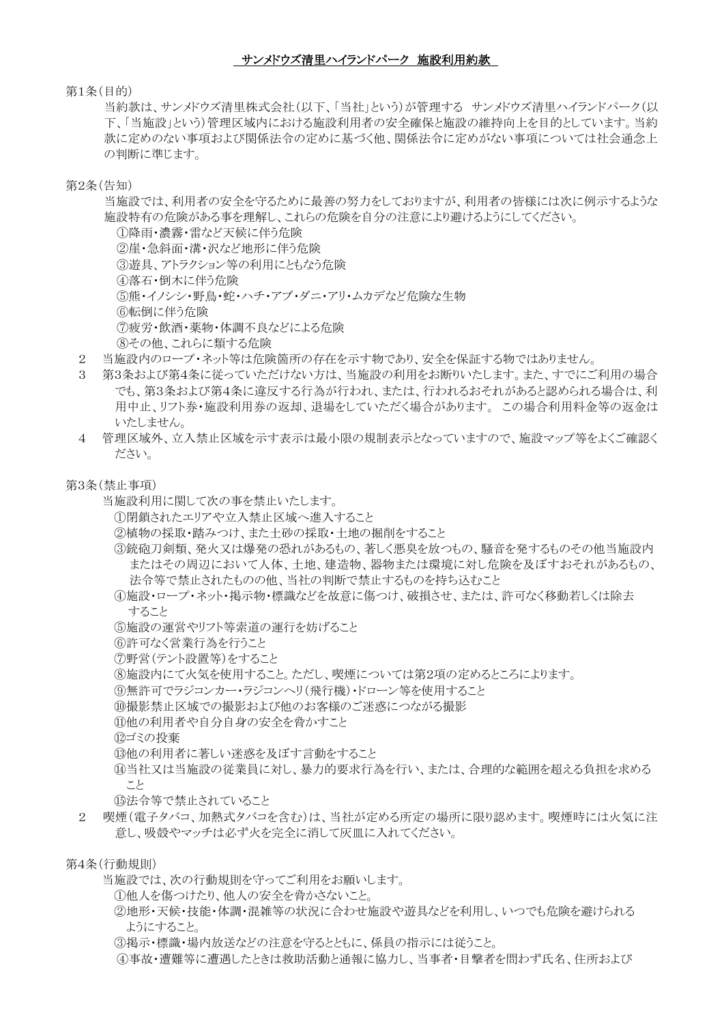#### サンメドウズ清里ハイランドパーク 施設利用約款

#### 第1条(目的)

当約款は、サンメドウズ清里株式会社(以下、「当社」という)が管理する サンメドウズ清里ハイランドパーク(以 下、「当施設」という)管理区域内における施設利用者の安全確保と施設の維持向上を目的としています。当約 款に定めのない事項および関係法令の定めに基づく他、関係法令に定めがない事項については社会通念上 の判断に準じます。

#### 第2条(告知)

当施設では、利用者の安全を守るために最善の努力をしておりますが、利用者の皆様には次に例示するような 施設特有の危険がある事を理解し、これらの危険を自分の注意により避けるようにしてください。

①降雨・濃霧・雷など天候に伴う危険 ②崖・急斜面・溝・沢など地形に伴う危険 ③遊具、アトラクション等の利用にともなう危険 ④落石・倒木に伴う危険 ⑤熊・イノシシ・野鳥・蛇・ハチ・アブ・ダニ・アリ・ムカデなど危険な生物 ⑥転倒に伴う危険 ⑦疲労・飲酒・薬物・体調不良などによる危険 ⑧その他、これらに類する危険

- 2 当施設内のロープ・ネット等は危険箇所の存在を示す物であり、安全を保証する物ではありません。
- 3 第3条および第4条に従っていただけない方は、当施設の利用をお断りいたします。また、すでにご利用の場合 でも、第3条および第4条に違反する行為が行われ、または、行われるおそれがあると認められる場合は、利 用中止、リフト券・施設利用券の返却、退場をしていただく場合があります。 この場合利用料金等の返金は いたしません。
- 4 管理区域外、立入禁止区域を示す表示は最小限の規制表示となっていますので、施設マップ等をよくご確認く ださい。

第3条(禁止事項)

- 当施設利用に関して次の事を禁止いたします。
	- ①閉鎖されたエリアや立入禁止区域へ進入すること
	- ②植物の採取・踏みつけ、また土砂の採取・土地の掘削をすること
	- ③銃砲刀剣類、発火又は爆発の恐れがあるもの、著しく悪臭を放つもの、騒音を発するものその他当施設内 またはその周辺において人体、土地、建造物、器物または環境に対し危険を及ぼすおそれがあるもの、 法令等で禁止されたものの他、当社の判断で禁止するものを持ち込むこと
	- ④施設・ロープ・ネット・掲示物・標識などを故意に傷つけ、破損させ、または、許可なく移動若しくは除去 すること
	- ⑤施設の運営やリフト等索道の運行を妨げること
	- ⑥許可なく営業行為を行うこと
	- ⑦野営(テント設置等)をすること
	- ⑧施設内にて火気を使用すること。ただし、喫煙については第2項の定めるところによります。
	- ⑨無許可でラジコンカー・ラジコンヘリ(飛行機)・ドローン等を使用すること
	- ⑩撮影禁止区域での撮影および他のお客様のご迷惑につながる撮影
	- ⑪他の利用者や自分自身の安全を脅かすこと
	- ⑫ゴミの投棄
	- 13他の利用者に著しい迷惑を及ぼす言動をすること
	- ⑭当社又は当施設の従業員に対し、暴力的要求行為を行い、または、合理的な範囲を超える負担を求める こと
	- ⑮法令等で禁止されていること
- 2 喫煙(電子タバコ、加熱式タバコを含む)は、当社が定める所定の場所に限り認めます。喫煙時には火気に注 意し、吸殻やマッチは必ず火を完全に消して灰皿に入れてください。

第4条(行動規則)

当施設では、次の行動規則を守ってご利用をお願いします。

- ①他人を傷つけたり、他人の安全を脅かさないこと。
- ②地形・天候・技能・体調・混雑等の状況に合わせ施設や遊具などを利用し、いつでも危険を避けられる ようにすること。
- ③掲示・標識・場内放送などの注意を守るとともに、係員の指示には従うこと。
- ④事故・遭難等に遭遇したときは救助活動と通報に協力し、当事者・目撃者を問わず氏名、住所および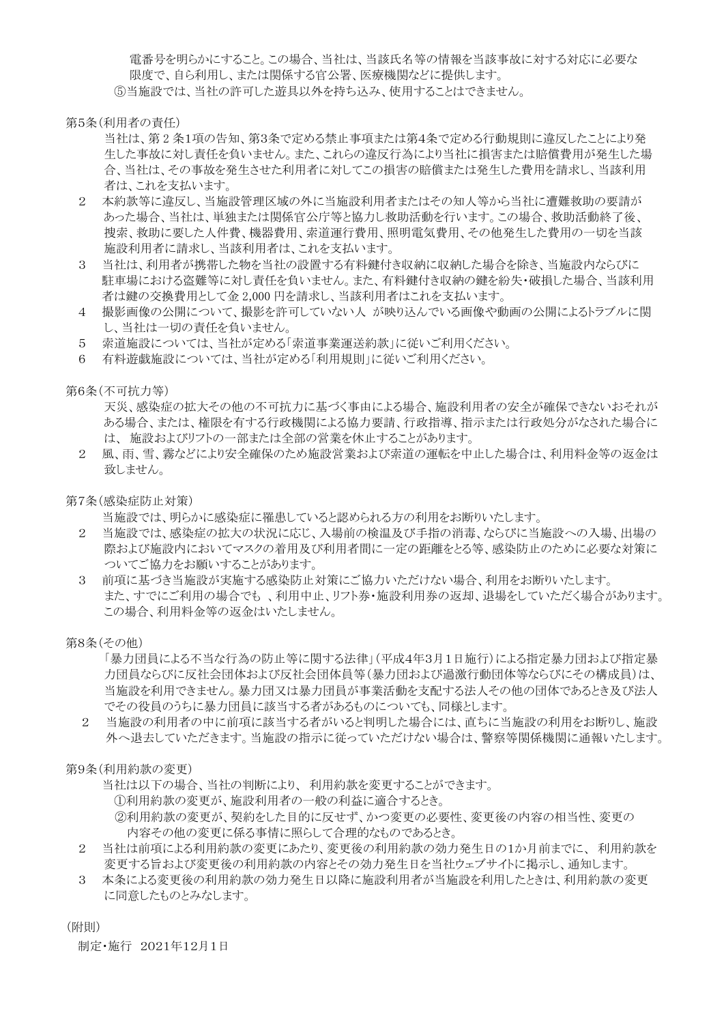電番号を明らかにすること。この場合、当社は、当該氏名等の情報を当該事故に対する対応に必要な 限度で、自ら利用し、または関係する官公署、医療機関などに提供します。 ⑤当施設では、当社の許可した遊具以外を持ち込み、使用することはできません。

第5条(利用者の責任)

当社は、第 2 条1項の告知、第3条で定める禁止事項または第4条で定める行動規則に違反したことにより発 生した事故に対し責任を負いません。また、これらの違反行為により当社に損害または賠償費用が発生した場 合、当社は、その事故を発生させた利用者に対してこの損害の賠償または発生した費用を請求し、当該利用 者は、これを支払います。

- 2 本約款等に違反し、当施設管理区域の外に当施設利用者またはその知人等から当社に遭難救助の要請が あった場合、当社は、単独または関係官公庁等と協力し救助活動を行います。この場合、救助活動終了後、 捜索、救助に要した人件費、機器費用、索道運行費用、照明電気費用、その他発生した費用の一切を当該 施設利用者に請求し、当該利用者は、これを支払います。
- 3 当社は、利用者が携帯した物を当社の設置する有料鍵付き収納に収納した場合を除き、当施設内ならびに 駐車場における盗難等に対し責任を負いません。また、有料鍵付き収納の鍵を紛失・破損した場合、当該利用 者は鍵の交換費用として金 2,000 円を請求し、当該利用者はこれを支払います。
- 4 撮影画像の公開について、撮影を許可していない人 が映り込んでいる画像や動画の公開によるトラブルに関 し、当社は一切の責任を負いません。
- 5 索道施設については、当社が定める「索道事業運送約款」に従いご利用ください。
- 6 有料遊戯施設については、当社が定める「利用規則」に従いご利用ください。

第6条(不可抗力等)

天災、感染症の拡大その他の不可抗力に基づく事由による場合、施設利用者の安全が確保できないおそれが ある場合、または、権限を有する行政機関による協力要請、行政指導、指示または行政処分がなされた場合に は、 施設およびリフトの一部または全部の営業を休止することがあります。

2 風、雨、雪、霧などにより安全確保のため施設営業および索道の運転を中止した場合は、利用料金等の返金は 致しません。

第7条(感染症防止対策)

当施設では、明らかに感染症に罹患していると認められる方の利用をお断りいたします。

- 2 当施設では、感染症の拡大の状況に応じ、入場前の検温及び手指の消毒、ならびに当施設への入場、出場の 際および施設内においてマスクの着用及び利用者間に一定の距離をとる等、感染防止のために必要な対策に ついてご協力をお願いすることがあります。
- 3 前項に基づき当施設が実施する感染防止対策にご協力いただけない場合、利用をお断りいたします。 また、すでにご利用の場合でも 、利用中止、リフト券・施設利用券の返却、退場をしていただく場合があります。 この場合、利用料金等の返金はいたしません。

第8条(その他)

「暴力団員による不当な行為の防止等に関する法律」(平成4年3月1日施行)による指定暴力団および指定暴 力団員ならびに反社会団体および反社会団体員等(暴力団および過激行動団体等ならびにその構成員)は、 当施設を利用できません。暴力団又は暴力団員が事業活動を支配する法人その他の団体であるとき及び法人 でその役員のうちに暴力団員に該当する者があるものについても、同様とします。

2 当施設の利用者の中に前項に該当する者がいると判明した場合には、直ちに当施設の利用をお断りし、施設 外へ退去していただきます。当施設の指示に従っていただけない場合は、警察等関係機関に通報いたします。

第9条(利用約款の変更)

当社は以下の場合、当社の判断により、 利用約款を変更することができます。 ①利用約款の変更が、施設利用者の一般の利益に適合するとき。 ②利用約款の変更が、契約をした目的に反せず、かつ変更の必要性、変更後の内容の相当性、変更の 内容その他の変更に係る事情に照らして合理的なものであるとき。

- 2 当社は前項による利用約款の変更にあたり、変更後の利用約款の効力発生日の1か月前までに、 利用約款を 変更する旨および変更後の利用約款の内容とその効力発生日を当社ウェブサイトに掲示し、通知します。
- 3 本条による変更後の利用約款の効力発生日以降に施設利用者が当施設を利用したときは、利用約款の変更 に同意したものとみなします。

(附則)

制定・施行 2021年12月1日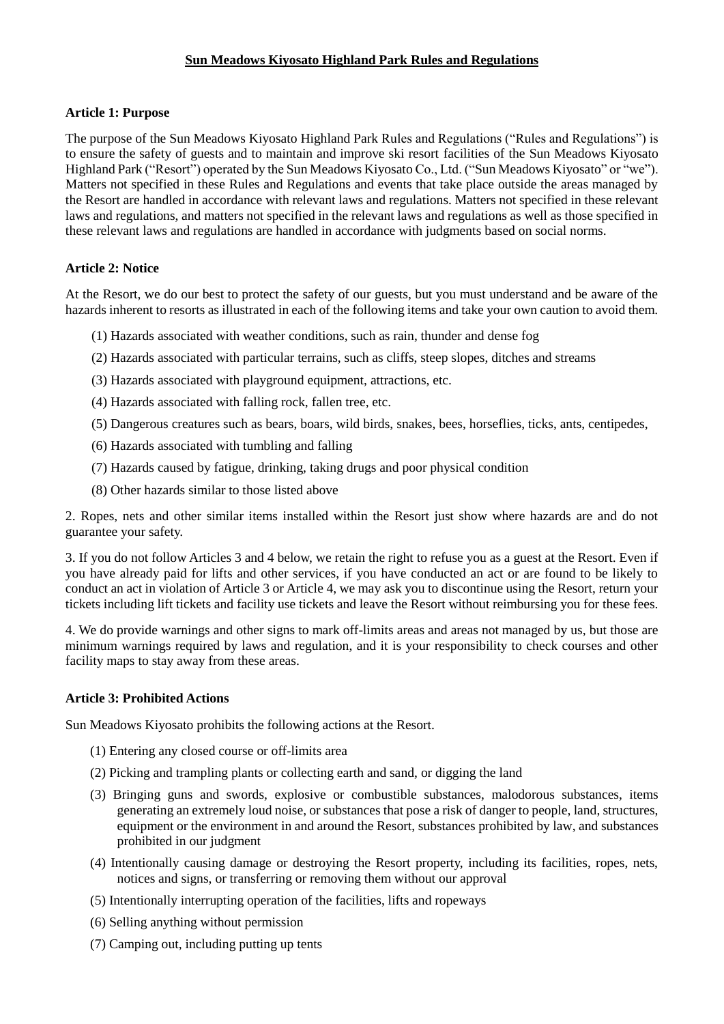# **Sun Meadows Kiyosato Highland Park Rules and Regulations**

## **Article 1: Purpose**

The purpose of the Sun Meadows Kiyosato Highland Park Rules and Regulations ("Rules and Regulations") is to ensure the safety of guests and to maintain and improve ski resort facilities of the Sun Meadows Kiyosato Highland Park ("Resort") operated by the Sun Meadows Kiyosato Co., Ltd. ("Sun Meadows Kiyosato" or "we"). Matters not specified in these Rules and Regulations and events that take place outside the areas managed by the Resort are handled in accordance with relevant laws and regulations. Matters not specified in these relevant laws and regulations, and matters not specified in the relevant laws and regulations as well as those specified in these relevant laws and regulations are handled in accordance with judgments based on social norms.

## **Article 2: Notice**

At the Resort, we do our best to protect the safety of our guests, but you must understand and be aware of the hazards inherent to resorts as illustrated in each of the following items and take your own caution to avoid them.

- (1) Hazards associated with weather conditions, such as rain, thunder and dense fog
- (2) Hazards associated with particular terrains, such as cliffs, steep slopes, ditches and streams
- (3) Hazards associated with playground equipment, attractions, etc.
- (4) Hazards associated with falling rock, fallen tree, etc.
- (5) Dangerous creatures such as bears, boars, wild birds, snakes, bees, horseflies, ticks, ants, centipedes,
- (6) Hazards associated with tumbling and falling
- (7) Hazards caused by fatigue, drinking, taking drugs and poor physical condition
- (8) Other hazards similar to those listed above

2. Ropes, nets and other similar items installed within the Resort just show where hazards are and do not guarantee your safety.

3. If you do not follow Articles 3 and 4 below, we retain the right to refuse you as a guest at the Resort. Even if you have already paid for lifts and other services, if you have conducted an act or are found to be likely to conduct an act in violation of Article 3 or Article 4, we may ask you to discontinue using the Resort, return your tickets including lift tickets and facility use tickets and leave the Resort without reimbursing you for these fees.

4. We do provide warnings and other signs to mark off-limits areas and areas not managed by us, but those are minimum warnings required by laws and regulation, and it is your responsibility to check courses and other facility maps to stay away from these areas.

## **Article 3: Prohibited Actions**

Sun Meadows Kiyosato prohibits the following actions at the Resort.

- (1) Entering any closed course or off-limits area
- (2) Picking and trampling plants or collecting earth and sand, or digging the land
- (3) Bringing guns and swords, explosive or combustible substances, malodorous substances, items generating an extremely loud noise, or substances that pose a risk of danger to people, land, structures, equipment or the environment in and around the Resort, substances prohibited by law, and substances prohibited in our judgment
- (4) Intentionally causing damage or destroying the Resort property, including its facilities, ropes, nets, notices and signs, or transferring or removing them without our approval
- (5) Intentionally interrupting operation of the facilities, lifts and ropeways
- (6) Selling anything without permission
- (7) Camping out, including putting up tents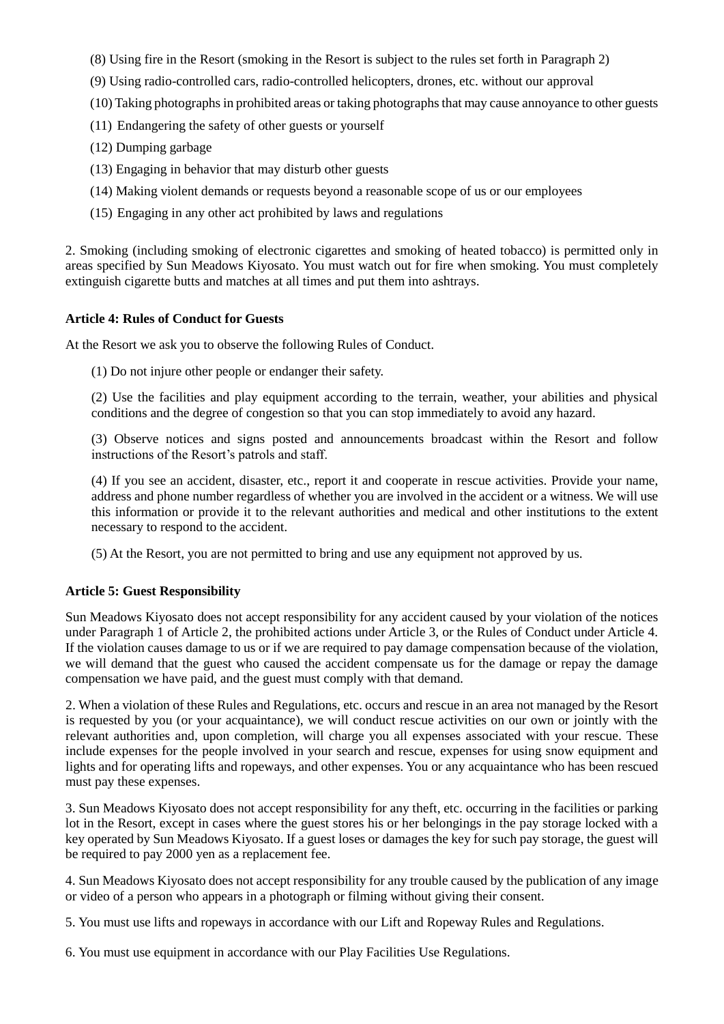- (8) Using fire in the Resort (smoking in the Resort is subject to the rules set forth in Paragraph 2)
- (9) Using radio-controlled cars, radio-controlled helicopters, drones, etc. without our approval
- (10) Taking photographs in prohibited areas or taking photographs that may cause annoyance to other guests
- (11) Endangering the safety of other guests or yourself
- (12) Dumping garbage
- (13) Engaging in behavior that may disturb other guests
- (14) Making violent demands or requests beyond a reasonable scope of us or our employees
- (15) Engaging in any other act prohibited by laws and regulations

2. Smoking (including smoking of electronic cigarettes and smoking of heated tobacco) is permitted only in areas specified by Sun Meadows Kiyosato. You must watch out for fire when smoking. You must completely extinguish cigarette butts and matches at all times and put them into ashtrays.

## **Article 4: Rules of Conduct for Guests**

At the Resort we ask you to observe the following Rules of Conduct.

(1) Do not injure other people or endanger their safety.

(2) Use the facilities and play equipment according to the terrain, weather, your abilities and physical conditions and the degree of congestion so that you can stop immediately to avoid any hazard.

(3) Observe notices and signs posted and announcements broadcast within the Resort and follow instructions of the Resort's patrols and staff.

(4) If you see an accident, disaster, etc., report it and cooperate in rescue activities. Provide your name, address and phone number regardless of whether you are involved in the accident or a witness. We will use this information or provide it to the relevant authorities and medical and other institutions to the extent necessary to respond to the accident.

(5) At the Resort, you are not permitted to bring and use any equipment not approved by us.

# **Article 5: Guest Responsibility**

Sun Meadows Kiyosato does not accept responsibility for any accident caused by your violation of the notices under Paragraph 1 of Article 2, the prohibited actions under Article 3, or the Rules of Conduct under Article 4. If the violation causes damage to us or if we are required to pay damage compensation because of the violation, we will demand that the guest who caused the accident compensate us for the damage or repay the damage compensation we have paid, and the guest must comply with that demand.

2. When a violation of these Rules and Regulations, etc. occurs and rescue in an area not managed by the Resort is requested by you (or your acquaintance), we will conduct rescue activities on our own or jointly with the relevant authorities and, upon completion, will charge you all expenses associated with your rescue. These include expenses for the people involved in your search and rescue, expenses for using snow equipment and lights and for operating lifts and ropeways, and other expenses. You or any acquaintance who has been rescued must pay these expenses.

3. Sun Meadows Kiyosato does not accept responsibility for any theft, etc. occurring in the facilities or parking lot in the Resort, except in cases where the guest stores his or her belongings in the pay storage locked with a key operated by Sun Meadows Kiyosato. If a guest loses or damages the key for such pay storage, the guest will be required to pay 2000 yen as a replacement fee.

4. Sun Meadows Kiyosato does not accept responsibility for any trouble caused by the publication of any image or video of a person who appears in a photograph or filming without giving their consent.

5. You must use lifts and ropeways in accordance with our Lift and Ropeway Rules and Regulations.

6. You must use equipment in accordance with our Play Facilities Use Regulations.